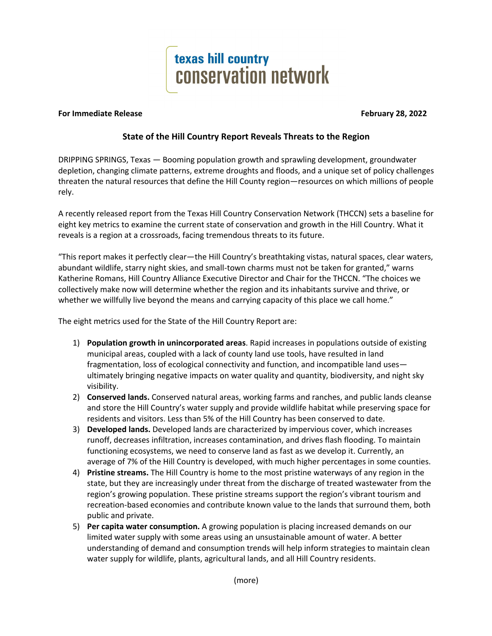

## **For Immediate Release February 28, 2022**

## **State of the Hill Country Report Reveals Threats to the Region**

DRIPPING SPRINGS, Texas — Booming population growth and sprawling development, groundwater depletion, changing climate patterns, extreme droughts and floods, and a unique set of policy challenges threaten the natural resources that define the Hill County region—resources on which millions of people rely.

A recently released report from the Texas Hill Country Conservation Network (THCCN) sets a baseline for eight key metrics to examine the current state of conservation and growth in the Hill Country. What it reveals is a region at a crossroads, facing tremendous threats to its future.

"This report makes it perfectly clear—the Hill Country's breathtaking vistas, natural spaces, clear waters, abundant wildlife, starry night skies, and small-town charms must not be taken for granted," warns Katherine Romans, Hill Country Alliance Executive Director and Chair for the THCCN. "The choices we collectively make now will determine whether the region and its inhabitants survive and thrive, or whether we willfully live beyond the means and carrying capacity of this place we call home."

The eight metrics used for the State of the Hill Country Report are:

- 1) **Population growth in unincorporated areas**. Rapid increases in populations outside of existing municipal areas, coupled with a lack of county land use tools, have resulted in land fragmentation, loss of ecological connectivity and function, and incompatible land uses ultimately bringing negative impacts on water quality and quantity, biodiversity, and night sky visibility.
- 2) **Conserved lands.** Conserved natural areas, working farms and ranches, and public lands cleanse and store the Hill Country's water supply and provide wildlife habitat while preserving space for residents and visitors. Less than 5% of the Hill Country has been conserved to date.
- 3) **Developed lands.** Developed lands are characterized by impervious cover, which increases runoff, decreases infiltration, increases contamination, and drives flash flooding. To maintain functioning ecosystems, we need to conserve land as fast as we develop it. Currently, an average of 7% of the Hill Country is developed, with much higher percentages in some counties.
- 4) **Pristine streams.** The Hill Country is home to the most pristine waterways of any region in the state, but they are increasingly under threat from the discharge of treated wastewater from the region's growing population. These pristine streams support the region's vibrant tourism and recreation-based economies and contribute known value to the lands that surround them, both public and private.
- 5) **Per capita water consumption.** A growing population is placing increased demands on our limited water supply with some areas using an unsustainable amount of water. A better understanding of demand and consumption trends will help inform strategies to maintain clean water supply for wildlife, plants, agricultural lands, and all Hill Country residents.